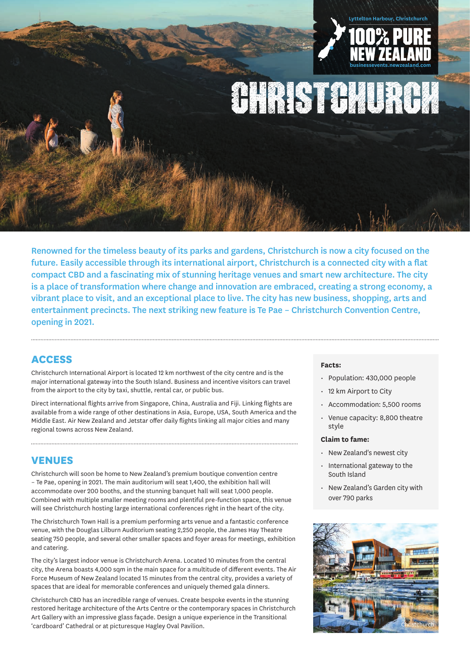

**OHRIST GALURUAL** 

Renowned for the timeless beauty of its parks and gardens, Christchurch is now a city focused on the future. Easily accessible through its international airport, Christchurch is a connected city with a flat compact CBD and a fascinating mix of stunning heritage venues and smart new architecture. The city is a place of transformation where change and innovation are embraced, creating a strong economy, a vibrant place to visit, and an exceptional place to live. The city has new business, shopping, arts and entertainment precincts. The next striking new feature is Te Pae – Christchurch Convention Centre, opening in 2021.

# **ACCESS**

Christchurch International Airport is located 12 km northwest of the city centre and is the major international gateway into the South Island. Business and incentive visitors can travel from the airport to the city by taxi, shuttle, rental car, or public bus.

Direct international flights arrive from Singapore, China, Australia and Fiji. Linking flights are available from a wide range of other destinations in Asia, Europe, USA, South America and the Middle East. Air New Zealand and Jetstar offer daily flights linking all major cities and many regional towns across New Zealand.

# **VENUES**

Christchurch will soon be home to New Zealand's premium boutique convention centre – Te Pae, opening in 2021. The main auditorium will seat 1,400, the exhibition hall will accommodate over 200 booths, and the stunning banquet hall will seat 1,000 people. Combined with multiple smaller meeting rooms and plentiful pre-function space, this venue will see Christchurch hosting large international conferences right in the heart of the city.

The Christchurch Town Hall is a premium performing arts venue and a fantastic conference venue, with the Douglas Lilburn Auditorium seating 2,250 people, the James Hay Theatre seating 750 people, and several other smaller spaces and foyer areas for meetings, exhibition and catering.

The city's largest indoor venue is Christchurch Arena. Located 10 minutes from the central city, the Arena boasts 4,000 sqm in the main space for a multitude of different events. The Air Force Museum of New Zealand located 15 minutes from the central city, provides a variety of spaces that are ideal for memorable conferences and uniquely themed gala dinners.

Christchurch CBD has an incredible range of venues. Create bespoke events in the stunning restored heritage architecture of the Arts Centre or the contemporary spaces in Christchurch Art Gallery with an impressive glass façade. Design a unique experience in the Transitional 'cardboard' Cathedral or at picturesque Hagley Oval Pavilion.

### **Facts:**

- Population: 430,000 people
- 12 km Airport to City
- Accommodation: 5,500 rooms
- Venue capacity: 8,800 theatre style

### **Claim to fame:**

- New Zealand's newest city
- International gateway to the South Island
- New Zealand's Garden city with over 790 parks